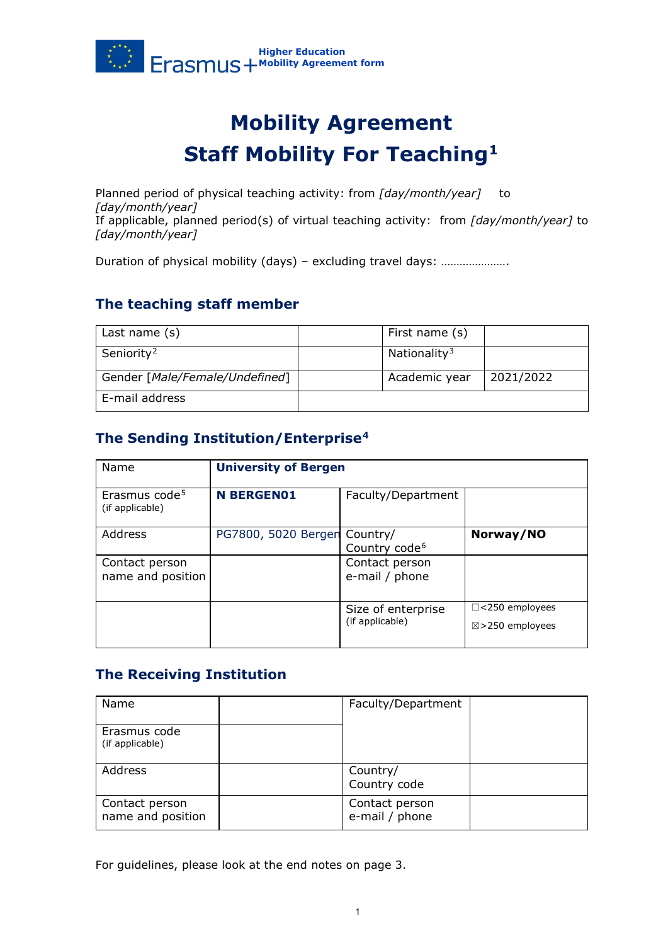

# **Mobility Agreement Staff Mobility For Teaching[1](#page-2-0)**

Planned period of physical teaching activity: from *[day/month/year]* to *[day/month/year]* If applicable, planned period(s) of virtual teaching activity: from *[day/month/year]* to *[day/month/year]*

Duration of physical mobility (days) – excluding travel days: ………………….

# **The teaching staff member**

| Last name $(s)$                | First name (s)           |           |
|--------------------------------|--------------------------|-----------|
| Seniority <sup>2</sup>         | Nationality <sup>3</sup> |           |
| Gender [Male/Female/Undefined] | Academic year            | 2021/2022 |
| E-mail address                 |                          |           |

# **The Sending Institution/Enterprise[4](#page-2-3)**

| Name                                         | <b>University of Bergen</b>  |                                       |                                                     |
|----------------------------------------------|------------------------------|---------------------------------------|-----------------------------------------------------|
| Erasmus code <sup>5</sup><br>(if applicable) | <b>N BERGENO1</b>            | Faculty/Department                    |                                                     |
| Address                                      | PG7800, 5020 Bergen Country/ | Country code <sup>6</sup>             | Norway/NO                                           |
| Contact person<br>name and position          |                              | Contact person<br>e-mail / phone      |                                                     |
|                                              |                              | Size of enterprise<br>(if applicable) | $\Box$ <250 employees<br>$\boxtimes$ >250 employees |

### **The Receiving Institution**

| Name                                | Faculty/Department               |  |
|-------------------------------------|----------------------------------|--|
| Erasmus code<br>(if applicable)     |                                  |  |
| Address                             | Country/<br>Country code         |  |
| Contact person<br>name and position | Contact person<br>e-mail / phone |  |

For guidelines, please look at the end notes on page 3.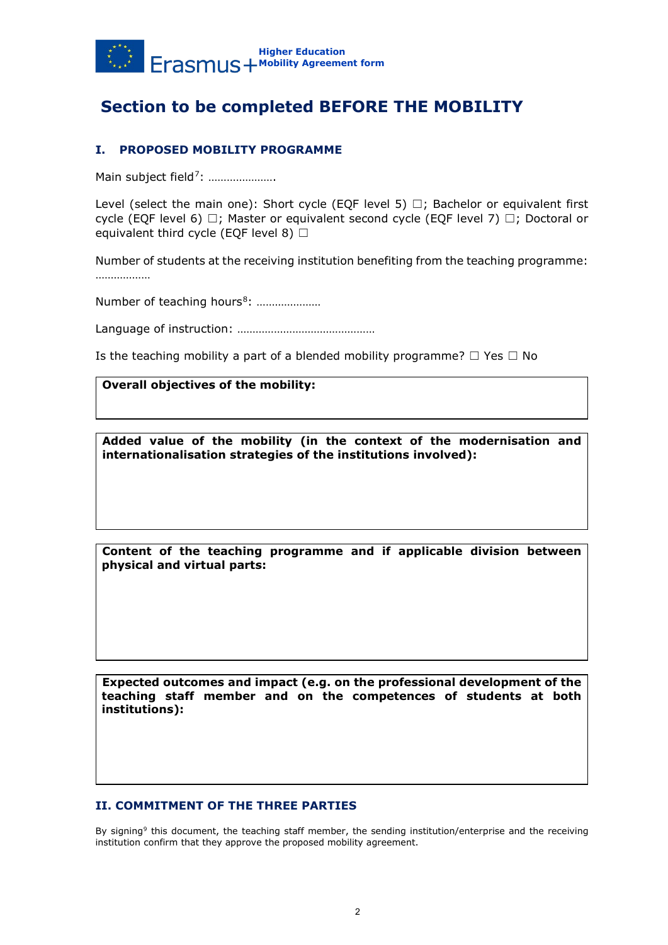

# **Section to be completed BEFORE THE MOBILITY**

### **I. PROPOSED MOBILITY PROGRAMME**

Main subject field<sup>7</sup>: ......................

Level (select the main one): Short cycle (EOF level 5)  $\Box$ ; Bachelor or equivalent first cycle (EQF level 6)  $\Box$ ; Master or equivalent second cycle (EQF level 7)  $\Box$ ; Doctoral or equivalent third cycle (EQF level 8)  $\Box$ 

Number of students at the receiving institution benefiting from the teaching programme: ………………

Number of teaching hours<sup>8</sup>: …………………

Language of instruction: ………………………………………

Is the teaching mobility a part of a blended mobility programme?  $\Box$  Yes  $\Box$  No

#### **Overall objectives of the mobility:**

**Added value of the mobility (in the context of the modernisation and internationalisation strategies of the institutions involved):**

**Content of the teaching programme and if applicable division between physical and virtual parts:**

**Expected outcomes and impact (e.g. on the professional development of the teaching staff member and on the competences of students at both institutions):**

### **II. COMMITMENT OF THE THREE PARTIES**

By signing<sup>[9](#page-3-2)</sup> this document, the teaching staff member, the sending institution/enterprise and the receiving institution confirm that they approve the proposed mobility agreement.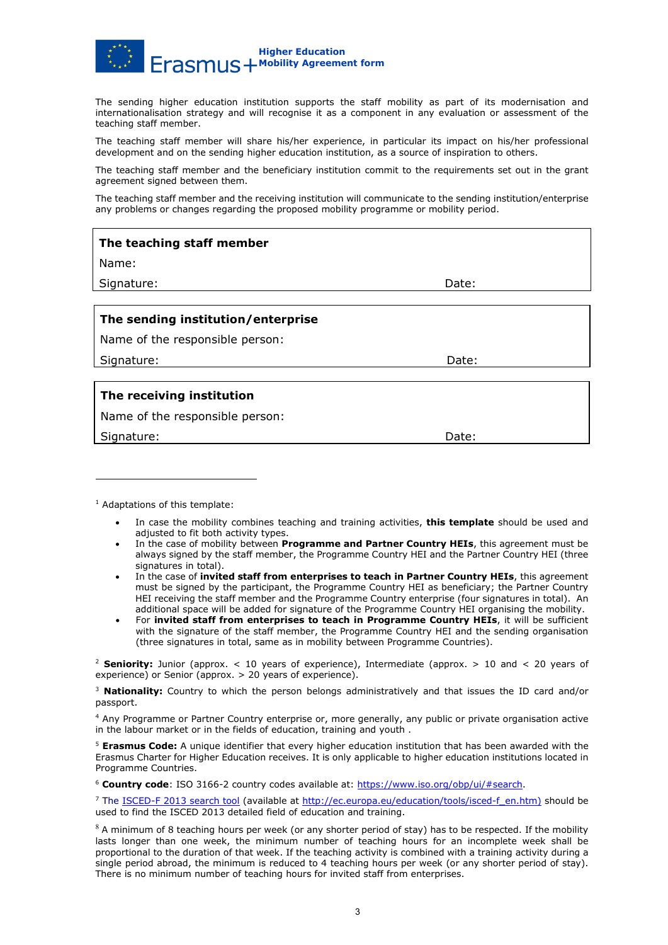

The sending higher education institution supports the staff mobility as part of its modernisation and internationalisation strategy and will recognise it as a component in any evaluation or assessment of the teaching staff member.

The teaching staff member will share his/her experience, in particular its impact on his/her professional development and on the sending higher education institution, as a source of inspiration to others.

The teaching staff member and the beneficiary institution commit to the requirements set out in the grant agreement signed between them.

The teaching staff member and the receiving institution will communicate to the sending institution/enterprise any problems or changes regarding the proposed mobility programme or mobility period.

| The teaching staff member          |       |  |  |
|------------------------------------|-------|--|--|
| Name:                              |       |  |  |
| Signature:                         | Date: |  |  |
|                                    |       |  |  |
| The sending institution/enterprise |       |  |  |
| Name of the responsible person:    |       |  |  |
| Signature:                         | Date: |  |  |
|                                    |       |  |  |
| The receiving institution          |       |  |  |
| Name of the responsible person:    |       |  |  |

Signature: Date: Date: Date: Date: Date: Date: Date: Date: Date: Date: Date: Date: Date: Date: Date: Date: Date: Date: Date: Date: Date: Date: Date: Date: Date: Date: Date: Date: Date: Date: Date: Date: Date: Date: Date: D

<sup>1</sup> Adaptations of this template:

- In case the mobility combines teaching and training activities, **this template** should be used and adjusted to fit both activity types.
- In the case of mobility between **Programme and Partner Country HEIs**, this agreement must be always signed by the staff member, the Programme Country HEI and the Partner Country HEI (three signatures in total).
- <span id="page-2-0"></span>• In the case of **invited staff from enterprises to teach in Partner Country HEIs**, this agreement must be signed by the participant, the Programme Country HEI as beneficiary; the Partner Country HEI receiving the staff member and the Programme Country enterprise (four signatures in total). An additional space will be added for signature of the Programme Country HEI organising the mobility.
- For **invited staff from enterprises to teach in Programme Country HEIs**, it will be sufficient with the signature of the staff member, the Programme Country HEI and the sending organisation (three signatures in total, same as in mobility between Programme Countries).

<sup>2</sup> **Seniority:** Junior (approx. < 10 years of experience), Intermediate (approx. > 10 and < 20 years of experience) or Senior (approx. > 20 years of experience).

<sup>3</sup> **Nationality:** Country to which the person belongs administratively and that issues the ID card and/or passport.

<sup>4</sup> Any Programme or Partner Country enterprise or, more generally, any public or private organisation active in the labour market or in the fields of education, training and youth .

<span id="page-2-2"></span><span id="page-2-1"></span><sup>5</sup> **Erasmus Code:** A unique identifier that every higher education institution that has been awarded with the Erasmus Charter for Higher Education receives. It is only applicable to higher education institutions located in Programme Countries.

<span id="page-2-3"></span><sup>6</sup> **Country code**: ISO 3166-2 country codes available at: [https://www.iso.org/obp/ui/#search.](https://www.iso.org/obp/ui/#search)

<sup>7</sup> The [ISCED-F 2013 search tool](http://ec.europa.eu/education/tools/isced-f_en.htm) (available at [http://ec.europa.eu/education/tools/isced-f\\_en.htm\)](http://ec.europa.eu/education/tools/isced-f_en.htm) should be used to find the ISCED 2013 detailed field of education and training.

<span id="page-2-5"></span><span id="page-2-4"></span> $8$  A minimum of 8 teaching hours per week (or any shorter period of stay) has to be respected. If the mobility lasts longer than one week, the minimum number of teaching hours for an incomplete week shall be proportional to the duration of that week. If the teaching activity is combined with a training activity during a single period abroad, the minimum is reduced to 4 teaching hours per week (or any shorter period of stay). There is no minimum number of teaching hours for invited staff from enterprises.